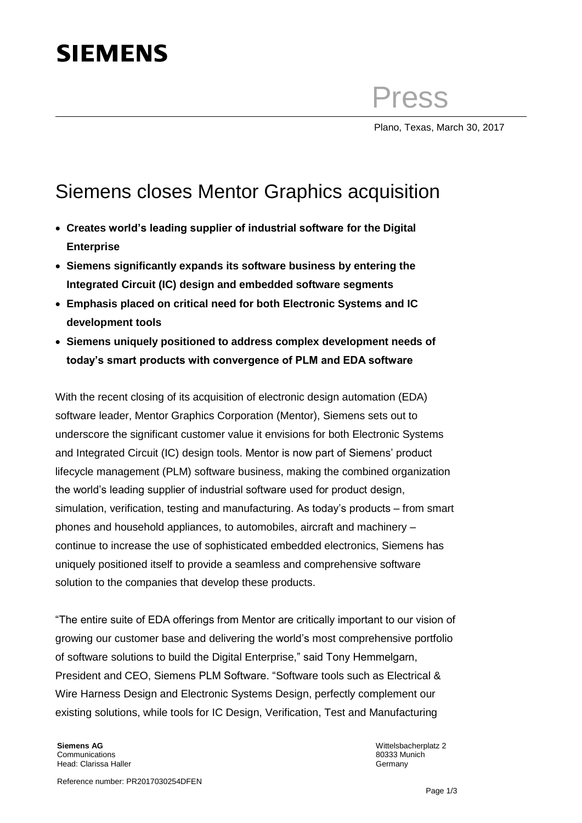## **SIEMENS**

Press

Plano, Texas, March 30, 2017

## Siemens closes Mentor Graphics acquisition

- **Creates world's leading supplier of industrial software for the Digital Enterprise**
- **Siemens significantly expands its software business by entering the Integrated Circuit (IC) design and embedded software segments**
- **Emphasis placed on critical need for both Electronic Systems and IC development tools**
- **Siemens uniquely positioned to address complex development needs of today's smart products with convergence of PLM and EDA software**

With the recent closing of its acquisition of electronic design automation (EDA) software leader, Mentor Graphics Corporation (Mentor), Siemens sets out to underscore the significant customer value it envisions for both Electronic Systems and Integrated Circuit (IC) design tools. Mentor is now part of Siemens' product lifecycle management (PLM) software business, making the combined organization the world's leading supplier of industrial software used for product design, simulation, verification, testing and manufacturing. As today's products – from smart phones and household appliances, to automobiles, aircraft and machinery – continue to increase the use of sophisticated embedded electronics, Siemens has uniquely positioned itself to provide a seamless and comprehensive software solution to the companies that develop these products.

"The entire suite of EDA offerings from Mentor are critically important to our vision of growing our customer base and delivering the world's most comprehensive portfolio of software solutions to build the Digital Enterprise," said Tony Hemmelgarn, President and CEO, Siemens PLM Software. "Software tools such as Electrical & Wire Harness Design and Electronic Systems Design, perfectly complement our existing solutions, while tools for IC Design, Verification, Test and Manufacturing

**Siemens AG Communications** Head: Clarissa Haller

Wittelsbacherplatz 2 80333 Munich **Germany**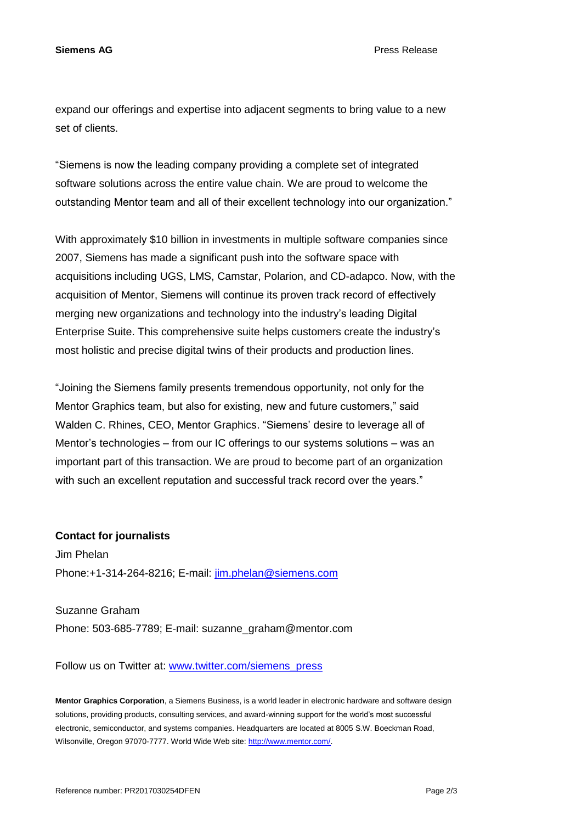**Siemens AG** Press Release

expand our offerings and expertise into adjacent segments to bring value to a new set of clients.

"Siemens is now the leading company providing a complete set of integrated software solutions across the entire value chain. We are proud to welcome the outstanding Mentor team and all of their excellent technology into our organization."

With approximately \$10 billion in investments in multiple software companies since 2007, Siemens has made a significant push into the software space with acquisitions including UGS, LMS, Camstar, Polarion, and CD-adapco. Now, with the acquisition of Mentor, Siemens will continue its proven track record of effectively merging new organizations and technology into the industry's leading Digital Enterprise Suite. This comprehensive suite helps customers create the industry's most holistic and precise digital twins of their products and production lines.

"Joining the Siemens family presents tremendous opportunity, not only for the Mentor Graphics team, but also for existing, new and future customers," said Walden C. Rhines, CEO, Mentor Graphics. "Siemens' desire to leverage all of Mentor's technologies – from our IC offerings to our systems solutions – was an important part of this transaction. We are proud to become part of an organization with such an excellent reputation and successful track record over the years."

## **Contact for journalists**

Jim Phelan Phone:+1-314-264-8216; E-mail: [jim.phelan@siemens.com](mailto:jim.phelan@siemens.com)

Suzanne Graham Phone: 503-685-7789; E-mail: suzanne\_graham@mentor.com

Follow us on Twitter at: [www.twitter.com/siemens\\_press](http://www.twitter.com/siemens_press)

**Mentor Graphics Corporation**, a Siemens Business, is a world leader in electronic hardware and software design solutions, providing products, consulting services, and award-winning support for the world's most successful electronic, semiconductor, and systems companies. Headquarters are located at 8005 S.W. Boeckman Road, Wilsonville, Oregon 97070-7777. World Wide Web site: [http://www.mentor.com/.](http://www.mentor.com/)